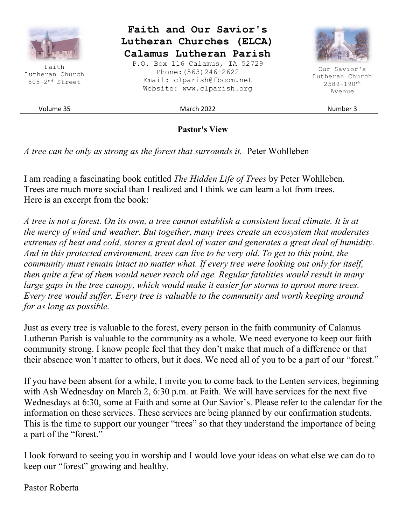

**Pastor's View** 

*A tree can be only as strong as the forest that surrounds it.* Peter Wohlleben

I am reading a fascinating book entitled *The Hidden Life of Trees* by Peter Wohlleben. Trees are much more social than I realized and I think we can learn a lot from trees. Here is an excerpt from the book:

*A tree is not a forest. On its own, a tree cannot establish a consistent local climate. It is at the mercy of wind and weather. But together, many trees create an ecosystem that moderates extremes of heat and cold, stores a great deal of water and generates a great deal of humidity. And in this protected environment, trees can live to be very old. To get to this point, the community must remain intact no matter what. If every tree were looking out only for itself, then quite a few of them would never reach old age. Regular fatalities would result in many large gaps in the tree canopy, which would make it easier for storms to uproot more trees. Every tree would suffer. Every tree is valuable to the community and worth keeping around for as long as possible.* 

Just as every tree is valuable to the forest, every person in the faith community of Calamus Lutheran Parish is valuable to the community as a whole. We need everyone to keep our faith community strong. I know people feel that they don't make that much of a difference or that their absence won't matter to others, but it does. We need all of you to be a part of our "forest."

If you have been absent for a while, I invite you to come back to the Lenten services, beginning with Ash Wednesday on March 2, 6:30 p.m. at Faith. We will have services for the next five Wednesdays at 6:30, some at Faith and some at Our Savior's. Please refer to the calendar for the information on these services. These services are being planned by our confirmation students. This is the time to support our younger "trees" so that they understand the importance of being a part of the "forest."

I look forward to seeing you in worship and I would love your ideas on what else we can do to keep our "forest" growing and healthy.

Pastor Roberta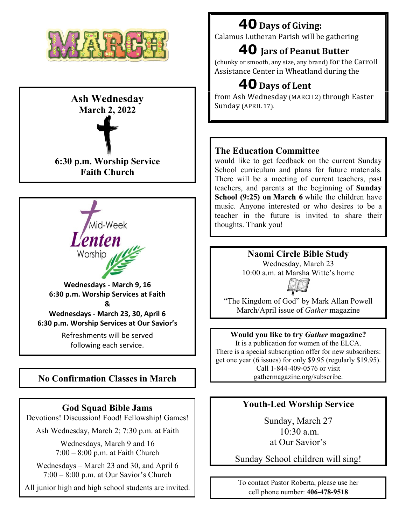

# **Ash Wednesday March 2, 2022**





following each service.

# **No Confirmation Classes in March**

#### **God Squad Bible Jams**

Devotions! Discussion! Food! Fellowship! Games!

Ash Wednesday, March 2; 7:30 p.m. at Faith

Wednesdays, March 9 and 16 7:00 – 8:00 p.m. at Faith Church

Wednesdays – March 23 and 30, and April 6 7:00 – 8:00 p.m. at Our Savior's Church

All junior high and high school students are invited.

# **40Days of Giving:**

Calamus Lutheran Parish will be gathering

# **40 Jars of Peanut Butter**

(chunky or smooth, any size, any brand) for the Carroll Assistance Center in Wheatland during the

# **40Days of Lent**

from Ash Wednesday (MARCH 2) through Easter Sunday (APRIL 17).

# **The Education Committee**

would like to get feedback on the current Sunday School curriculum and plans for future materials. There will be a meeting of current teachers, past teachers, and parents at the beginning of **Sunday School (9:25) on March 6** while the children have music. Anyone interested or who desires to be a teacher in the future is invited to share their thoughts. Thank you!

**Naomi Circle Bible Study** 

Wednesday, March 23 10:00 a.m. at Marsha Witte's home



"The Kingdom of God" by Mark Allan Powell March/April issue of *Gather* magazine

#### **Would you like to try** *Gather* **magazine?**

It is a publication for women of the ELCA. There is a special subscription offer for new subscribers: get one year (6 issues) for only \$9.95 (regularly \$19.95). Call 1-844-409-0576 or visit gathermagazine.org/subscribe.

## **Youth-Led Worship Service**

Sunday, March 27  $10.30 a m$ at Our Savior's

Sunday School children will sing!

To contact Pastor Roberta, please use her cell phone number: **406-478-9518**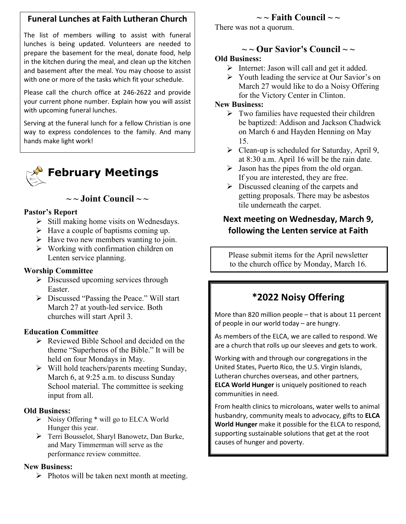## **Funeral Lunches at Faith Lutheran Church**

The list of members willing to assist with funeral lunches is being updated. Volunteers are needed to prepare the basement for the meal, donate food, help in the kitchen during the meal, and clean up the kitchen and basement after the meal. You may choose to assist with one or more of the tasks which fit your schedule.

Please call the church office at 246-2622 and provide your current phone number. Explain how you will assist with upcoming funeral lunches.

Serving at the funeral lunch for a fellow Christian is one way to express condolences to the family. And many hands make light work!

**February Meetings** 

 $\sim$  ~ Joint Council  $\sim$  ~

#### **Pastor's Report**

- $\triangleright$  Still making home visits on Wednesdays.
- $\triangleright$  Have a couple of baptisms coming up.
- $\triangleright$  Have two new members wanting to join.
- $\triangleright$  Working with confirmation children on Lenten service planning.

#### **Worship Committee**

- $\triangleright$  Discussed upcoming services through Easter.
- $\triangleright$  Discussed "Passing the Peace." Will start March 27 at youth-led service. Both churches will start April 3.

#### **Education Committee**

- $\triangleright$  Reviewed Bible School and decided on the theme "Superheros of the Bible." It will be held on four Mondays in May.
- $\triangleright$  Will hold teachers/parents meeting Sunday, March 6, at 9:25 a.m. to discuss Sunday School material. The committee is seeking input from all.

#### **Old Business:**

- $\triangleright$  Noisy Offering  $*$  will go to ELCA World Hunger this year.
- Terri Bousselot, Sharyl Banowetz, Dan Burke, and Mary Timmerman will serve as the performance review committee.

#### **New Business:**

 $\triangleright$  Photos will be taken next month at meeting.

# $\sim$  **Faith Council**  $\sim$   $\sim$

There was not a quorum.

# $\sim$  ~ Our Savior's Council  $\sim$  ~

#### **Old Business:**

- $\triangleright$  Internet: Jason will call and get it added.
- $\triangleright$  Youth leading the service at Our Savior's on March 27 would like to do a Noisy Offering for the Victory Center in Clinton.

#### **New Business:**

- $\triangleright$  Two families have requested their children be baptized: Addison and Jackson Chadwick on March 6 and Hayden Henning on May 15.
- $\triangleright$  Clean-up is scheduled for Saturday, April 9, at 8:30 a.m. April 16 will be the rain date.
- $\triangleright$  Jason has the pipes from the old organ. If you are interested, they are free.
- $\triangleright$  Discussed cleaning of the carpets and getting proposals. There may be asbestos tile underneath the carpet.

## **Next meeting on Wednesday, March 9, following the Lenten service at Faith**

Please submit items for the April newsletter to the church office by Monday, March 16.

# **\*2022 Noisy Offering**

More than 820 million people – that is about 11 percent of people in our world today – are hungry.

As members of the ELCA, we are called to respond. We are a church that rolls up our sleeves and gets to work.

Working with and through our congregations in the United States, Puerto Rico, the U.S. Virgin Islands, Lutheran churches overseas, and other partners, **ELCA World Hunger** is uniquely positioned to reach communities in need.

From health clinics to microloans, water wells to animal husbandry, community meals to advocacy, gifts to **ELCA World Hunger** make it possible for the ELCA to respond, supporting sustainable solutions that get at the root causes of hunger and poverty.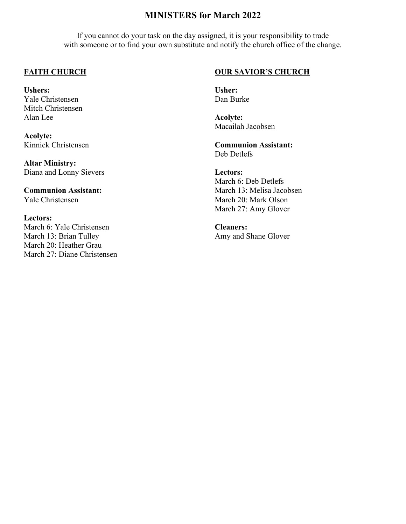### **MINISTERS for March 2022**

If you cannot do your task on the day assigned, it is your responsibility to trade with someone or to find your own substitute and notify the church office of the change.

#### **FAITH CHURCH**

**Ushers:**  Yale Christensen Mitch Christensen Alan Lee

**Acolyte:**  Kinnick Christensen

**Altar Ministry:**  Diana and Lonny Sievers

**Communion Assistant:**  Yale Christensen

#### **Lectors:**

March 6: Yale Christensen March 13: Brian Tulley March 20: Heather Grau March 27: Diane Christensen

#### **OUR SAVIOR'S CHURCH**

**Usher:**  Dan Burke

**Acolyte:**  Macailah Jacobsen

**Communion Assistant:**  Deb Detlefs

**Lectors:**  March 6: Deb Detlefs March 13: Melisa Jacobsen March 20: Mark Olson March 27: Amy Glover

**Cleaners:**  Amy and Shane Glover